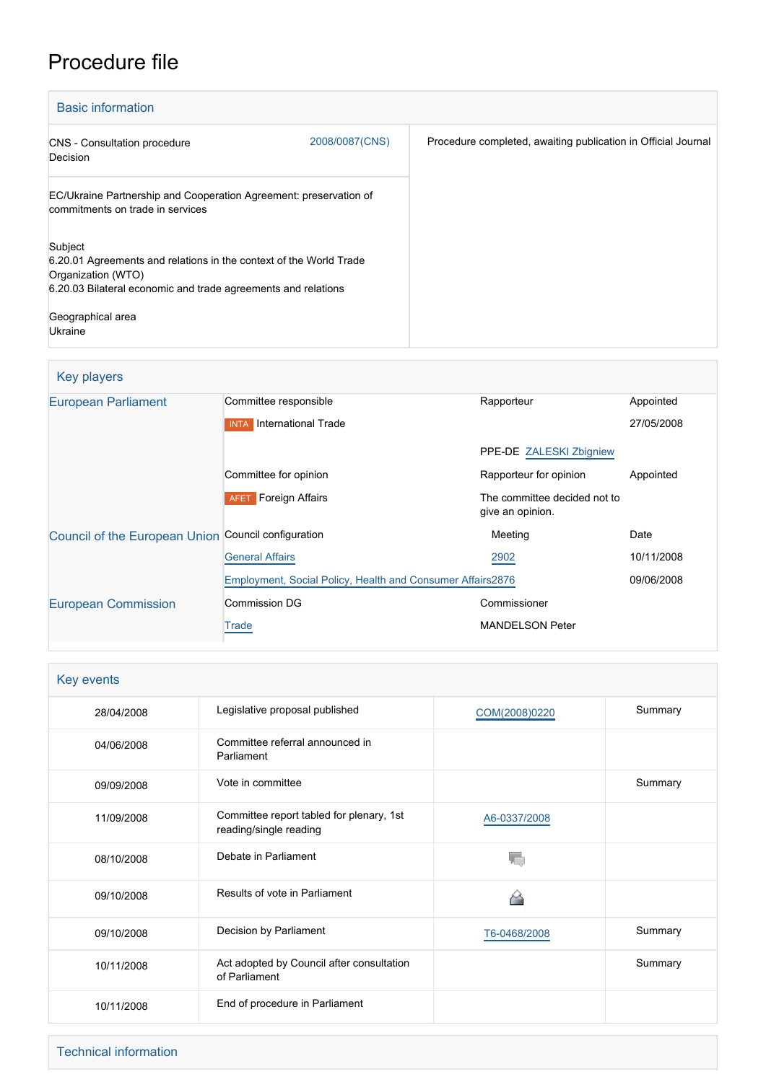# Procedure file

| <b>Basic information</b>                                                                                                                                             |                |                                                               |  |
|----------------------------------------------------------------------------------------------------------------------------------------------------------------------|----------------|---------------------------------------------------------------|--|
| <b>CNS</b> - Consultation procedure<br>Decision                                                                                                                      | 2008/0087(CNS) | Procedure completed, awaiting publication in Official Journal |  |
| EC/Ukraine Partnership and Cooperation Agreement: preservation of<br>commitments on trade in services                                                                |                |                                                               |  |
| Subject<br>6.20.01 Agreements and relations in the context of the World Trade<br>Organization (WTO)<br>6.20.03 Bilateral economic and trade agreements and relations |                |                                                               |  |
| Geographical area<br>Ukraine                                                                                                                                         |                |                                                               |  |

## Key players

| <b>European Parliament</b>                          | Committee responsible                                      | Rapporteur                                       | Appointed  |
|-----------------------------------------------------|------------------------------------------------------------|--------------------------------------------------|------------|
|                                                     | International Trade<br><b>INTA</b>                         |                                                  | 27/05/2008 |
|                                                     |                                                            | PPE-DE ZALESKI Zbigniew                          |            |
|                                                     | Committee for opinion                                      | Rapporteur for opinion                           | Appointed  |
|                                                     | <b>Foreign Affairs</b><br><b>AFET</b>                      | The committee decided not to<br>give an opinion. |            |
| Council of the European Union Council configuration |                                                            | Meeting                                          | Date       |
|                                                     | <b>General Affairs</b>                                     | 2902                                             | 10/11/2008 |
|                                                     | Employment, Social Policy, Health and Consumer Affairs2876 |                                                  | 09/06/2008 |
| <b>European Commission</b>                          | <b>Commission DG</b>                                       | Commissioner                                     |            |
|                                                     | Trade                                                      | <b>MANDELSON Peter</b>                           |            |

| Key events |                                                                    |               |         |  |
|------------|--------------------------------------------------------------------|---------------|---------|--|
| 28/04/2008 | Legislative proposal published                                     | COM(2008)0220 | Summary |  |
| 04/06/2008 | Committee referral announced in<br>Parliament                      |               |         |  |
| 09/09/2008 | Vote in committee                                                  |               | Summary |  |
| 11/09/2008 | Committee report tabled for plenary, 1st<br>reading/single reading | A6-0337/2008  |         |  |
| 08/10/2008 | Debate in Parliament                                               |               |         |  |
| 09/10/2008 | Results of vote in Parliament                                      |               |         |  |
| 09/10/2008 | Decision by Parliament                                             | T6-0468/2008  | Summary |  |
| 10/11/2008 | Act adopted by Council after consultation<br>of Parliament         |               | Summary |  |
| 10/11/2008 | End of procedure in Parliament                                     |               |         |  |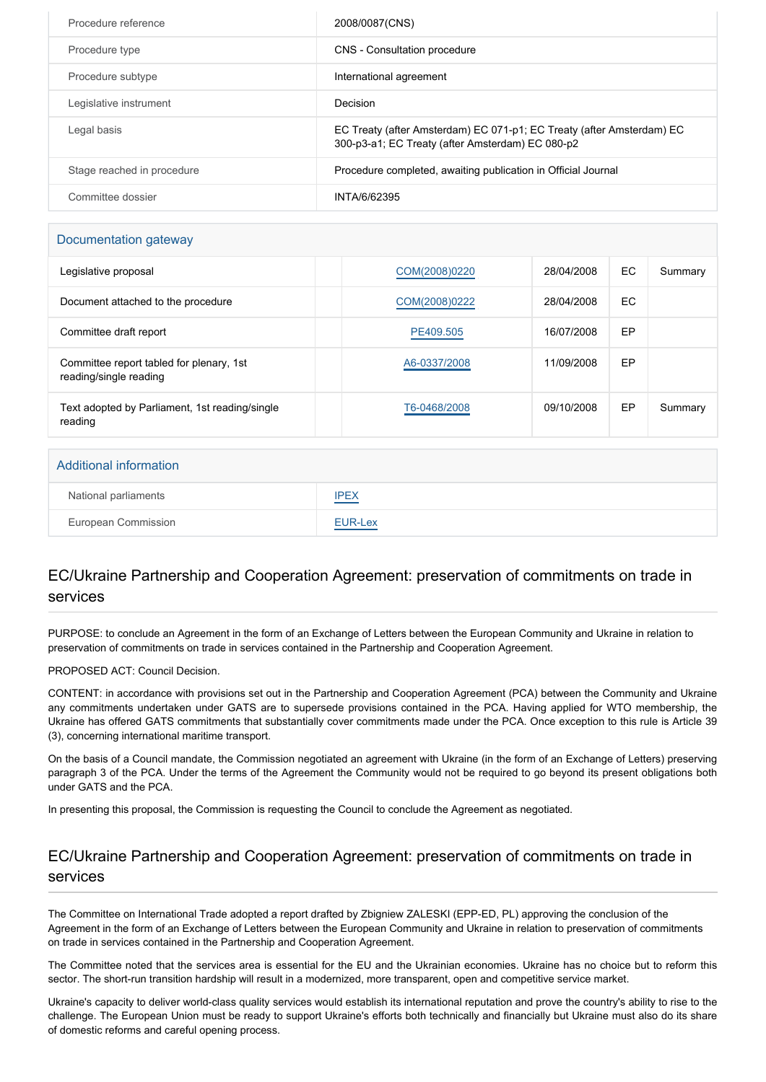| Procedure reference        | 2008/0087(CNS)                                                                                                            |
|----------------------------|---------------------------------------------------------------------------------------------------------------------------|
| Procedure type             | <b>CNS</b> - Consultation procedure                                                                                       |
| Procedure subtype          | International agreement                                                                                                   |
| Legislative instrument     | Decision                                                                                                                  |
| Legal basis                | EC Treaty (after Amsterdam) EC 071-p1; EC Treaty (after Amsterdam) EC<br>300-p3-a1; EC Treaty (after Amsterdam) EC 080-p2 |
| Stage reached in procedure | Procedure completed, awaiting publication in Official Journal                                                             |
| Committee dossier          | INTA/6/62395                                                                                                              |

#### Documentation gateway

| Legislative proposal                                               | COM(2008)0220 | 28/04/2008 | EC. | Summary |
|--------------------------------------------------------------------|---------------|------------|-----|---------|
| Document attached to the procedure                                 | COM(2008)0222 | 28/04/2008 | EC. |         |
| Committee draft report                                             | PE409.505     | 16/07/2008 | EP  |         |
| Committee report tabled for plenary, 1st<br>reading/single reading | A6-0337/2008  | 11/09/2008 | EP  |         |
| Text adopted by Parliament, 1st reading/single<br>reading          | T6-0468/2008  | 09/10/2008 | EP  | Summary |

## Additional information National parliaments [IPEX](http://www.ipex.eu/IPEXL-WEB/dossier/dossier.do?code=CNS&year=2008&number=0087&appLng=EN) European Commission **[EUR-Lex](http://ec.europa.eu/prelex/liste_resultats.cfm?CL=en&ReqId=0&DocType=CNS&DocYear=2008&DocNum=0087)**

### EC/Ukraine Partnership and Cooperation Agreement: preservation of commitments on trade in services

PURPOSE: to conclude an Agreement in the form of an Exchange of Letters between the European Community and Ukraine in relation to preservation of commitments on trade in services contained in the Partnership and Cooperation Agreement.

#### PROPOSED ACT: Council Decision.

CONTENT: in accordance with provisions set out in the Partnership and Cooperation Agreement (PCA) between the Community and Ukraine any commitments undertaken under GATS are to supersede provisions contained in the PCA. Having applied for WTO membership, the Ukraine has offered GATS commitments that substantially cover commitments made under the PCA. Once exception to this rule is Article 39 (3), concerning international maritime transport.

On the basis of a Council mandate, the Commission negotiated an agreement with Ukraine (in the form of an Exchange of Letters) preserving paragraph 3 of the PCA. Under the terms of the Agreement the Community would not be required to go beyond its present obligations both under GATS and the PCA.

In presenting this proposal, the Commission is requesting the Council to conclude the Agreement as negotiated.

#### EC/Ukraine Partnership and Cooperation Agreement: preservation of commitments on trade in services

The Committee on International Trade adopted a report drafted by Zbigniew ZALESKI (EPP-ED, PL) approving the conclusion of the Agreement in the form of an Exchange of Letters between the European Community and Ukraine in relation to preservation of commitments on trade in services contained in the Partnership and Cooperation Agreement.

The Committee noted that the services area is essential for the EU and the Ukrainian economies. Ukraine has no choice but to reform this sector. The short-run transition hardship will result in a modernized, more transparent, open and competitive service market.

Ukraine's capacity to deliver world-class quality services would establish its international reputation and prove the country's ability to rise to the challenge. The European Union must be ready to support Ukraine's efforts both technically and financially but Ukraine must also do its share of domestic reforms and careful opening process.